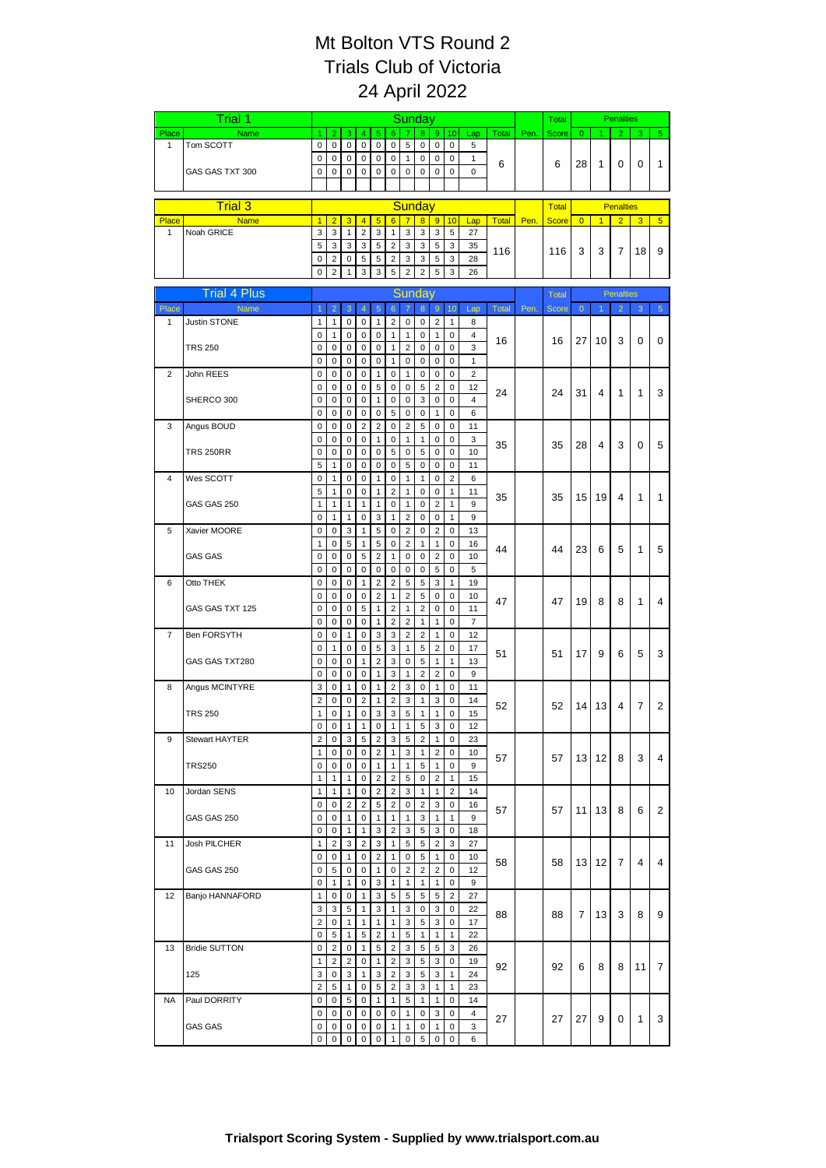|                | Trial 1              | Sunday              |                                  |                              |                             |                                  |                                  |                                           |                          |                                |                                |                      |              | Total | <b>Penalties</b> |                |                  |                  |    |                |
|----------------|----------------------|---------------------|----------------------------------|------------------------------|-----------------------------|----------------------------------|----------------------------------|-------------------------------------------|--------------------------|--------------------------------|--------------------------------|----------------------|--------------|-------|------------------|----------------|------------------|------------------|----|----------------|
| Place          | Name                 | 1                   | $\overline{c}$                   | 3                            | $\overline{4}$              | $\overline{5}$                   | $6\phantom{a}$                   |                                           | 8                        | 9 <sup>°</sup>                 | 10                             | Lap                  | Total        | Pen.  | Score            | $\mathbf{0}$   |                  | $\overline{2}$   | 3  | $\overline{5}$ |
| $\mathbf{1}$   | Tom SCOTT            | 0<br>0              | $\mathbf 0$<br>$\mathbf 0$       | $\mathbf 0$<br>$\mathbf 0$   | $\mathsf 0$<br>$\pmb{0}$    | $\mathbf 0$<br>0                 | 0<br>$\mathbf 0$                 | 5<br>$\mathbf{1}$                         | $\mathsf{O}\xspace$<br>0 | $\mathsf 0$<br>$\pmb{0}$       | $\mathbf 0$<br>$\mathbf 0$     | 5<br>$\mathbf{1}$    |              |       |                  |                |                  |                  |    |                |
|                | GAS GAS TXT 300      | 0                   | $\mathbf 0$                      | $\mathbf 0$                  | 0                           | 0                                | 0                                | 0                                         | 0                        | $\mathbf 0$                    | $\mathbf 0$                    | 0                    | 6            |       | 6                | 28             | $\mathbf{1}$     | 0                | 0  | 1              |
|                |                      |                     |                                  |                              |                             |                                  |                                  |                                           |                          |                                |                                |                      |              |       |                  |                |                  |                  |    |                |
|                | <b>Trial 3</b>       |                     |                                  |                              |                             |                                  |                                  | Sunday                                    |                          |                                |                                |                      |              |       | <b>Total</b>     |                |                  | <b>Penalties</b> |    |                |
| Place          | <b>Name</b>          | 1                   | $\overline{2}$                   | 3                            | $\overline{4}$              | $\overline{5}$                   | 6 <sup>1</sup>                   | $\overline{7}$                            | $\overline{\mathbf{8}}$  | 9                              | 10                             | Lap                  | <b>Total</b> | Pen.  | <b>Score</b>     | $\overline{0}$ | $\overline{1}$   | $\overline{2}$   | 3  | 5 <sup>5</sup> |
| $\mathbf{1}$   | Noah GRICE           | 3                   | $\mathbf 3$                      | $\mathbf{1}$                 | $\overline{2}$              | 3                                | $\overline{1}$                   | $\mathbf 3$                               | $\mathbf{3}$             | 3                              | $\sqrt{5}$                     | 27                   |              |       |                  |                |                  |                  |    |                |
|                |                      | 5                   | 3                                | 3                            | 3                           | $\,$ 5 $\,$                      | $\overline{2}$                   | 3                                         | 3                        | 5                              | 3                              | 35                   | 116          |       | 116              | 3              | 3                | 7                | 18 | 9              |
|                |                      | 0<br>0              | $\overline{2}$<br>$\overline{2}$ | $\mathbf 0$<br>$\mathbf{1}$  | 5<br>3                      | 5<br>3                           | $\overline{2}$<br>5              | 3<br>$\overline{2}$                       | 3<br>$\overline{2}$      | 5<br>5                         | 3<br>3                         | 28<br>26             |              |       |                  |                |                  |                  |    |                |
|                |                      |                     |                                  |                              |                             |                                  |                                  |                                           |                          |                                |                                |                      |              |       |                  |                |                  |                  |    |                |
|                | <b>Trial 4 Plus</b>  |                     |                                  |                              |                             |                                  |                                  | Sunday                                    |                          |                                |                                |                      |              |       | <b>Total</b>     |                | <b>Penalties</b> |                  |    |                |
| Place          | Name                 | $\overline{1}$      | $\overline{2}$                   | 3                            | $\overline{4}$              | $\sqrt{5}$                       | $\sqrt{6}$                       | $\overline{7}$                            | 8                        | $\overline{9}$                 | 10 <sup>1</sup>                | Lap                  | Total        | Pen.  | <b>Score</b>     | $\overline{0}$ | $\mathbf{1}$     | $\overline{2}$   | 3  | $\sqrt{5}$     |
| 1              | Justin STONE         | 1<br>0              | $\mathbf{1}$<br>$\mathbf{1}$     | 0<br>$\mathbf 0$             | 0<br>0                      | $\mathbf{1}$<br>0                | $\overline{2}$<br>1              | 0<br>$\mathbf{1}$                         | $\mathbf 0$<br>0         | $\sqrt{2}$<br>$\mathbf{1}$     | $\mathbf{1}$<br>0              | 8<br>4               |              |       |                  |                |                  |                  |    |                |
|                | <b>TRS 250</b>       | 0                   | $\pmb{0}$                        | 0                            | 0                           | 0                                | 1                                | $\overline{2}$                            | 0                        | $\pmb{0}$                      | 0                              | 3                    | 16           |       | 16               | 27             | 10               | 3                | 0  | 0              |
|                |                      | 0                   | $\mathbf 0$                      | $\mathbf 0$                  | $\pmb{0}$                   | $\mathbf 0$                      | $\mathbf{1}$                     | $\mathsf 0$                               | 0                        | $\mathbf 0$                    | 0                              | $\mathbf{1}$         |              |       |                  |                |                  |                  |    |                |
| $\overline{2}$ | John REES            | 0                   | $\mathbf 0$                      | $\mathbf 0$                  | $\pmb{0}$                   | 1                                | $\mathbf 0$                      | $\mathbf{1}$                              | 0                        | $\pmb{0}$                      | $\mathbf 0$                    | $\overline{2}$       |              |       |                  |                |                  |                  |    |                |
|                | SHERCO 300           | 0<br>0              | $\mathbf 0$<br>$\mathbf 0$       | $\mathbf 0$<br>0             | $\pmb{0}$<br>0              | 5<br>$\mathbf{1}$                | $\mathbf 0$<br>$\mathbf 0$       | $\mathsf 0$<br>$\pmb{0}$                  | 5<br>3                   | $\overline{2}$<br>$\pmb{0}$    | 0<br>$\mathbf 0$               | 12<br>$\overline{4}$ | 24           |       | 24               | 31             | 4                | 1                | 1  | 3              |
|                |                      | 0                   | $\pmb{0}$                        | $\pmb{0}$                    | $\pmb{0}$                   | $\pmb{0}$                        | 5                                | $\mathsf 0$                               | 0                        | $\mathbf{1}$                   | $\pmb{0}$                      | 6                    |              |       |                  |                |                  |                  |    |                |
| 3              | Angus BOUD           | 0                   | 0                                | 0                            | $\overline{2}$              | $\overline{2}$                   | 0                                | $\overline{\mathbf{c}}$                   | 5                        | $\mathbf 0$                    | 0                              | 11                   |              |       |                  |                |                  |                  |    |                |
|                |                      | 0                   | $\mathbf 0$                      | $\mathbf 0$                  | $\mathbf 0$                 | $\mathbf{1}$                     | $\mathsf 0$                      | $\mathbf{1}$                              | $\mathbf{1}$             | $\pmb{0}$                      | $\mathbf 0$                    | 3                    | 35           |       | 35               | 28             | 4                | 3                | 0  | 5              |
|                | <b>TRS 250RR</b>     | 0<br>5              | $\mathbf 0$<br>$\mathbf{1}$      | 0<br>$\mathbf 0$             | 0<br>$\mathbf 0$            | 0<br>0                           | 5<br>$\mathbf 0$                 | 0<br>5                                    | 5<br>$\mathbf 0$         | 0<br>$\pmb{0}$                 | $\mathbf 0$<br>$\pmb{0}$       | 10<br>11             |              |       |                  |                |                  |                  |    |                |
| 4              | Wes SCOTT            | 0                   | $\mathbf{1}$                     | $\mathbf 0$                  | $\pmb{0}$                   | $\mathbf{1}$                     | $\mathbf 0$                      | $\mathbf{1}$                              | $\mathbf{1}$             | $\pmb{0}$                      | $\overline{2}$                 | 6                    |              |       |                  |                |                  |                  |    |                |
|                |                      | 5                   | $\mathbf{1}$                     | $\mathbf 0$                  | 0                           | $\mathbf{1}$                     | $\overline{2}$                   | 1                                         | 0                        | 0                              | $\mathbf{1}$                   | 11                   | 35           |       | 35               | 15             | 19               | 4                | 1  | 1              |
|                | GAS GAS 250          | 1                   | $\mathbf{1}$                     | $\mathbf{1}$                 | $\mathbf{1}$                | $\mathbf{1}$                     | $\mathbf 0$                      | 1                                         | 0                        | $\overline{2}$                 | $\mathbf{1}$                   | 9                    |              |       |                  |                |                  |                  |    |                |
|                | Xavier MOORE         | 0<br>0              | $\mathbf{1}$<br>$\pmb{0}$        | $\mathbf{1}$<br>3            | 0<br>$\mathbf{1}$           | 3<br>5                           | 1<br>$\mathbf 0$                 | $\overline{\mathbf{c}}$<br>$\overline{2}$ | 0<br>0                   | $\pmb{0}$<br>$\overline{2}$    | 1<br>$\pmb{0}$                 | 9<br>13              |              |       |                  |                |                  |                  |    |                |
| 5              |                      | 1                   | 0                                | 5                            | $\mathbf{1}$                | 5                                | 0                                | 2                                         | 1                        | 1                              | 0                              | 16                   |              |       |                  |                |                  |                  |    |                |
|                | <b>GAS GAS</b>       | 0                   | $\pmb{0}$                        | $\mathbf 0$                  | 5                           | $\overline{2}$                   | $\mathbf{1}$                     | $\mathsf 0$                               | $\mathbf 0$              | $\overline{2}$                 | $\pmb{0}$                      | 10                   | 44           |       | 44               | 23             | 6                | 5                | 1  | 5              |
|                |                      | 0                   | $\mathbf 0$                      | $\mathbf 0$                  | $\pmb{0}$                   | $\mathbf 0$                      | $\mathbf 0$                      | $\mathbf 0$                               | 0                        | $\sqrt{5}$                     | 0                              | 5                    |              |       |                  |                |                  |                  |    |                |
| 6              | Otto THEK            | 0<br>0              | $\mathbf 0$<br>$\mathbf 0$       | $\mathbf 0$<br>$\mathbf 0$   | $\mathbf{1}$<br>$\mathbf 0$ | $\overline{2}$<br>$\overline{2}$ | $\overline{2}$<br>$\mathbf{1}$   | 5<br>$\overline{2}$                       | 5<br>5                   | 3<br>0                         | $\mathbf{1}$<br>0              | 19<br>10             |              |       |                  |                |                  |                  |    |                |
|                | GAS GAS TXT 125      | 0                   | $\mathbf 0$                      | $\mathbf 0$                  | 5                           | $\mathbf{1}$                     | $\overline{2}$                   | $\mathbf{1}$                              | $\overline{2}$           | $\pmb{0}$                      | 0                              | 11                   | 47           |       | 47               | 19             | 8                | 8                | 1  | 4              |
|                |                      | 0                   | $\mathbf 0$                      | 0                            | $\pmb{0}$                   | $\mathbf{1}$                     | $\overline{2}$                   | $\overline{2}$                            | $\mathbf{1}$             | $\mathbf{1}$                   | 0                              | $\overline{7}$       |              |       |                  |                |                  |                  |    |                |
| 7              | <b>Ben FORSYTH</b>   | 0                   | $\mathbf 0$                      | $\mathbf{1}$                 | 0                           | 3                                | 3                                | $\overline{2}$                            | $\overline{2}$           | $\mathbf{1}$                   | $\mathbf 0$                    | 12                   |              |       |                  |                |                  |                  |    |                |
|                |                      | 0<br>0              | 1<br>$\mathbf 0$                 | $\mathbf 0$<br>$\mathbf 0$   | $\pmb{0}$<br>$\mathbf{1}$   | 5<br>$\overline{2}$              | 3<br>$\mathsf 3$                 | 1<br>0                                    | 5<br>5                   | $\sqrt{2}$<br>1                | 0<br>$\mathbf{1}$              | 17                   | 51           |       | 51               | 17             | 9                | 6                | 5  | 3              |
|                | GAS GAS TXT280       | 0                   | $\mathbf 0$                      | $\mathbf 0$                  | $\pmb{0}$                   | 1                                | 3                                | $\mathbf{1}$                              | $\overline{2}$           | $\overline{\mathbf{c}}$        | $\pmb{0}$                      | 13<br>9              |              |       |                  |                |                  |                  |    |                |
| 8              | Angus MCINTYRE       | 3                   | $\mathbf 0$                      | $\mathbf{1}$                 | 0                           | $\mathbf{1}$                     | $\overline{2}$                   | 3                                         | 0                        | 1                              | 0                              | 11                   |              |       |                  |                |                  |                  |    |                |
|                |                      | $\overline{2}$      | $\mathbf 0$                      | 0                            | $\overline{2}$              | $\mathbf{1}$                     | $\overline{2}$                   | 3                                         | 1                        | 3                              | 0                              | 14                   | 52           |       | 52               | 14             | 13               | 4                | 7  | 2              |
|                | <b>TRS 250</b>       | 1<br>0              | $\mathbf 0$<br>$\mathbf 0$       | $\mathbf{1}$<br>$\mathbf{1}$ | $\pmb{0}$<br>$\mathbf{1}$   | 3<br>0                           | 3<br>$\mathbf{1}$                | 5<br>$\mathbf{1}$                         | 1<br>5                   | $\mathbf{1}$<br>3              | 0<br>$\pmb{0}$                 | 15<br>12             |              |       |                  |                |                  |                  |    |                |
| 9              | Stewart HAYTER       | 2                   | 0                                | 3                            | 5                           | 2                                | 3                                | 5                                         | $\overline{c}$           | 1                              | 0                              | 23                   |              |       |                  |                |                  |                  |    |                |
|                |                      | $\mathbf{1}$        | $\mathbf 0$                      | $\mathbf 0$                  | $\pmb{0}$                   | $\overline{2}$                   | $\mathbf{1}$                     | 3                                         | 1                        | $\overline{2}$                 | $\mathbf 0$                    | 10                   | 57           |       | 57               | 13             | 12               | 8                | 3  | 4              |
|                | <b>TRS250</b>        | 0                   | $\mathbf 0$                      | $\mathbf 0$                  | 0                           | 1                                | $\overline{1}$                   | $\mathbf{1}$                              | $\sqrt{5}$               | $\mathbf{1}$                   | $\mathbf 0$                    | 9                    |              |       |                  |                |                  |                  |    |                |
| 10             | Jordan SENS          | 1<br>1              | $\mathbf{1}$<br>1                | $\mathbf{1}$<br>$\mathbf{1}$ | 0<br>0                      | $\overline{2}$<br>$\overline{2}$ | $\overline{2}$<br>$\overline{2}$ | 5<br>3                                    | 0<br>1                   | $\overline{2}$<br>$\mathbf{1}$ | $\mathbf{1}$<br>$\overline{2}$ | 15<br>14             |              |       |                  |                |                  |                  |    |                |
|                |                      | 0                   | 0                                | $\overline{2}$               | $\overline{2}$              | 5                                | $\overline{2}$                   | 0                                         | $\overline{2}$           | 3                              | 0                              | 16                   |              |       |                  |                |                  |                  |    |                |
|                | GAS GAS 250          | 0                   | 0                                | 1                            | 0                           | $\mathbf{1}$                     | $\overline{1}$                   | 1                                         | 3                        | $\mathbf{1}$                   | $\mathbf{1}$                   | 9                    | 57           |       | 57               | 11             | 13               | 8                | 6  | 2              |
|                |                      | 0                   | 0                                | $\mathbf{1}$                 | $\mathbf{1}$                | 3                                | 2                                | 3                                         | 5                        | 3                              | 0                              | 18                   |              |       |                  |                |                  |                  |    |                |
| 11             | Josh PILCHER         | $\mathbf{1}$<br>0   | $\overline{2}$<br>$\mathbf 0$    | 3<br>$\mathbf{1}$            | $\overline{2}$<br>0         | 3<br>$\overline{2}$              | $\overline{1}$                   | 5<br>$\mathbf 0$                          | 5<br>$\sqrt{5}$          | $\overline{c}$<br>$\mathbf{1}$ | 3<br>$\mathbf 0$               | 27                   |              |       |                  |                |                  |                  |    |                |
|                | GAS GAS 250          | 0                   | 5                                | $\mathbf 0$                  | 0                           | $\mathbf{1}$                     | $\overline{1}$<br>$\mathbf 0$    | $\overline{c}$                            | $\overline{2}$           | $\sqrt{2}$                     | $\mathbf 0$                    | 10<br>12             | 58           |       | 58               | 13             | 12               | 7                | 4  | 4              |
|                |                      | 0                   | $\mathbf{1}$                     | $\mathbf{1}$                 | 0                           | 3                                | $\mathbf{1}$                     | $\mathbf{1}$                              | 1                        | $\mathbf{1}$                   | 0                              | 9                    |              |       |                  |                |                  |                  |    |                |
| 12             | Banjo HANNAFORD      | $\mathbf{1}$        | 0                                | 0                            | $\mathbf{1}$                | 3                                | 5                                | 5                                         | 5                        | 5                              | $\overline{2}$                 | 27                   |              |       |                  |                |                  |                  |    |                |
|                |                      | 3                   | 3                                | 5                            | 1                           | 3                                | $\mathbf{1}$                     | 3                                         | 0                        | 3                              | 0                              | 22                   | 88           |       | 88               | 7              | 13               | 3                | 8  | 9              |
|                |                      | $\overline{2}$<br>0 | 0<br>5                           | $\mathbf{1}$<br>$\mathbf{1}$ | $\mathbf{1}$<br>5           | $\mathbf{1}$<br>2                | $\mathbf{1}$<br>1                | 3<br>5                                    | 5<br>1                   | 3<br>$\mathbf{1}$              | 0<br>$\mathbf{1}$              | 17<br>22             |              |       |                  |                |                  |                  |    |                |
| 13             | <b>Bridie SUTTON</b> | 0                   | $\overline{2}$                   | $\mathbf 0$                  | $\mathbf{1}$                | 5                                | $\overline{2}$                   | 3                                         | 5                        | 5                              | 3                              | 26                   |              |       |                  |                |                  |                  |    |                |
|                |                      | 1                   | $\overline{2}$                   | $\overline{c}$               | $\pmb{0}$                   | $\mathbf{1}$                     | $\overline{2}$                   | 3                                         | $\sqrt{5}$               | 3                              | 0                              | 19                   | 92           |       | 92               | 6              | 8                | 8                | 11 | 7              |
|                | 125                  | 3                   | $\mathbf 0$                      | 3                            | 1                           | 3                                | $\overline{2}$                   | 3                                         | 5                        | 3                              | $\mathbf{1}$                   | 24                   |              |       |                  |                |                  |                  |    |                |
| NA             | Paul DORRITY         | $\overline{c}$<br>0 | 5<br>0                           | $\mathbf{1}$<br>5            | 0<br>$\mathbf{0}$           | 5<br>1                           | $\overline{c}$<br>1              | 3<br>5                                    | 3<br>1                   | 1<br>$\mathbf{1}$              | $\mathbf{1}$<br>0              | 23<br>14             |              |       |                  |                |                  |                  |    |                |
|                |                      | 0                   | 0                                | 0                            | 0                           | $\mathbf 0$                      | 0                                | $\mathbf{1}$                              | 0                        | 3                              | 0                              | $\overline{4}$       |              |       |                  |                |                  |                  |    |                |
|                | <b>GAS GAS</b>       | 0                   | 0                                | 0                            | 0                           | 0                                | 1                                | 1                                         | 0                        | $\mathbf{1}$                   | 0                              | 3                    | 27           |       | 27               | 27             | 9                | 0                | 1  | 3              |
|                |                      | 0                   | $\mathbf 0$                      | 0                            | $\pmb{0}$                   | 0                                | $\mathbf{1}$                     | 0                                         | 5                        | $\pmb{0}$                      | 0                              | 6                    |              |       |                  |                |                  |                  |    |                |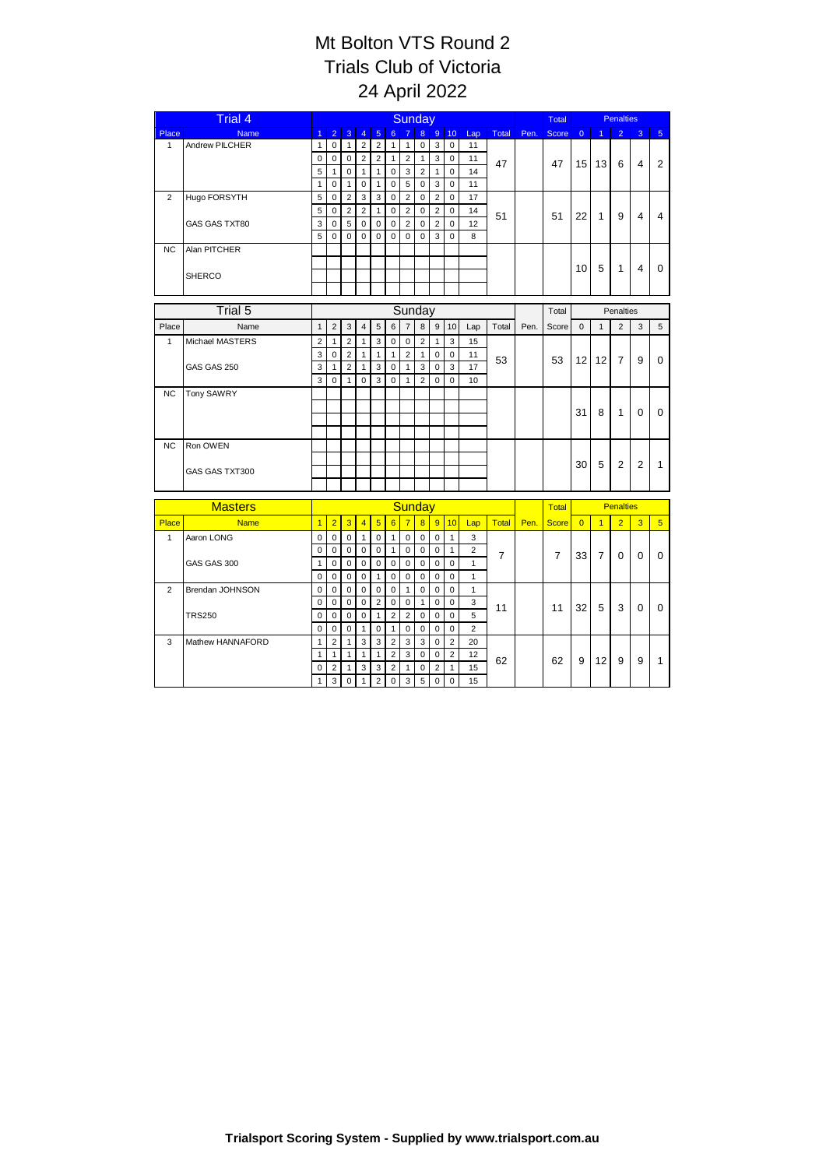|                | <b>Trial 4</b>     | Sunday         |                |                |                |                |                 |                |                |                  |                 |                         |       | Total | <b>Penalties</b> |                  |                |                |                |                |
|----------------|--------------------|----------------|----------------|----------------|----------------|----------------|-----------------|----------------|----------------|------------------|-----------------|-------------------------|-------|-------|------------------|------------------|----------------|----------------|----------------|----------------|
| Place          | <b>Name</b>        | $\overline{1}$ | $\overline{2}$ | $\overline{3}$ | $\overline{4}$ | 5              | $6^{\circ}$     | $\overline{7}$ | 8              | 9 <sup>°</sup>   | 10 <sup>1</sup> | Lap                     | Total | Pen.  | <b>Score</b>     | $\overline{0}$   |                | $\overline{2}$ | 3              | 5 <sup>5</sup> |
| $\mathbf{1}$   | Andrew PILCHER     | $\mathbf{1}$   | $\mathbf 0$    | $\mathbf{1}$   | $\overline{2}$ | $\overline{2}$ | $\mathbf{1}$    | $\mathbf{1}$   | $\mathsf 0$    | 3                | $\mathbf 0$     | 11                      |       |       |                  |                  |                |                |                |                |
|                |                    | $\mathbf 0$    | $\pmb{0}$      | $\mathbf 0$    | $\overline{c}$ | $\overline{2}$ | $\mathbf{1}$    | $\mathbf 2$    | $\mathbf{1}$   | $\overline{3}$   | $\mathbf 0$     | 11                      | 47    | 47    | 15               | 13               | 6              | 4              | $\overline{2}$ |                |
|                |                    | 5              | $\mathbf{1}$   | $\mathbf 0$    | $\mathbf{1}$   | $\mathbf{1}$   | $\mathbf 0$     | 3              | $\overline{2}$ | $\mathbf{1}$     | $\mathbf 0$     | 14                      |       |       |                  |                  |                |                |                |                |
|                |                    | $\mathbf{1}$   | $\mathbf 0$    | $\mathbf{1}$   | $\mathbf 0$    | $\overline{1}$ | $\mathbf 0$     | $\overline{5}$ | $\mathsf 0$    | $\overline{3}$   | $\mathbf 0$     | 11                      |       |       |                  |                  |                |                |                |                |
| $\overline{2}$ | Hugo FORSYTH       | 5              | $\mathbf 0$    | $\overline{2}$ | 3              | 3              | $\mathbf 0$     | $\overline{2}$ | $\mathbf 0$    | $\overline{2}$   | $\mathbf 0$     | 17                      |       |       |                  |                  |                |                |                |                |
|                |                    | 5              | $\Omega$       | 2              | $\overline{2}$ | $\overline{1}$ | $\mathbf 0$     | $\overline{2}$ | $\mathbf 0$    | $\overline{2}$   | $\Omega$        | 14                      | 51    |       | 51               | 22               | 1              | 9              | 4              | 4              |
|                | GAS GAS TXT80      | 3              | $\mathbf 0$    | 5              | 0              | $\mathbf 0$    | 0               | $\overline{2}$ | $\mathbf 0$    | $\overline{2}$   | 0               | 12                      |       |       |                  |                  |                |                |                |                |
|                |                    | 5              | $\mathbf 0$    | $\Omega$       | 0              | $\mathbf 0$    | $\mathbf 0$     | 0              | $\mathbf 0$    | 3                | $\mathbf 0$     | 8                       |       |       |                  |                  |                |                |                |                |
| NC.            | Alan PITCHER       |                |                |                |                |                |                 |                |                |                  |                 |                         |       |       |                  |                  |                |                |                |                |
|                |                    |                |                |                |                |                |                 |                |                |                  |                 |                         |       |       |                  | 10               | 5              | $\mathbf{1}$   | $\overline{4}$ | $\mathbf 0$    |
|                | <b>SHERCO</b>      |                |                |                |                |                |                 |                |                |                  |                 |                         |       |       |                  |                  |                |                |                |                |
|                |                    |                |                |                |                |                |                 |                |                |                  |                 |                         |       |       |                  |                  |                |                |                |                |
|                | Trial 5            |                |                |                |                |                |                 | Sunday         |                |                  |                 |                         |       |       | Total            |                  |                | Penalties      |                |                |
| Place          | Name               | $\mathbf{1}$   | $\overline{2}$ | 3              | $\overline{4}$ | $\sqrt{5}$     | 6               | $\overline{7}$ | 8              | $\boldsymbol{9}$ | 10              | Lap                     | Total | Pen.  | Score            | $\mathsf 0$      | $\mathbf{1}$   | $\overline{2}$ | 3              | 5              |
| $\mathbf{1}$   | Michael MASTERS    | $\overline{2}$ | $\mathbf{1}$   | $\overline{2}$ | $\mathbf{1}$   | 3              | $\mathbf 0$     | $\mathsf 0$    | $\sqrt{2}$     | 1                | 3               | 15                      |       |       |                  |                  |                |                |                |                |
|                |                    | 3              | $\mathbf 0$    | 2              | $\mathbf{1}$   | $\mathbf{1}$   | $\mathbf{1}$    | $\overline{2}$ | $\mathbf{1}$   | $\pmb{0}$        | $\mathbf 0$     | 11                      |       |       |                  |                  |                |                |                |                |
|                | GAS GAS 250        | 3              | $\mathbf{1}$   | $\overline{2}$ | $\mathbf{1}$   | 3              | $\mathsf 0$     | $\mathbf{1}$   | 3              | $\mathbf 0$      | 3               | 17                      | 53    |       | 53               | 12 <sup>2</sup>  | 12             | $\overline{7}$ | 9              | $\Omega$       |
|                |                    | 3              | $\Omega$       | $\mathbf{1}$   | 0              | 3              | $\mathbf 0$     | 1              | $\overline{2}$ | $\mathbf 0$      | $\Omega$        | 10                      |       |       |                  |                  |                |                |                |                |
| <b>NC</b>      | Tony SAWRY         |                |                |                |                |                |                 |                |                |                  |                 |                         |       |       |                  |                  |                |                |                |                |
|                |                    |                |                |                |                |                |                 |                |                |                  |                 |                         |       |       |                  | 31               | 8              | $\mathbf 1$    | $\Omega$       | 0              |
|                |                    |                |                |                |                |                |                 |                |                |                  |                 |                         |       |       |                  |                  |                |                |                |                |
|                |                    |                |                |                |                |                |                 |                |                |                  |                 |                         |       |       |                  |                  |                |                |                |                |
| <b>NC</b>      | Ron OWEN           |                |                |                |                |                |                 |                |                |                  |                 |                         |       |       |                  |                  |                |                |                |                |
|                |                    |                |                |                |                |                |                 |                |                |                  |                 |                         |       |       |                  | 30               | 5              | $\overline{2}$ | $\overline{2}$ | $\mathbf{1}$   |
|                | GAS GAS TXT300     |                |                |                |                |                |                 |                |                |                  |                 |                         |       |       |                  |                  |                |                |                |                |
|                |                    |                |                |                |                |                |                 |                |                |                  |                 |                         |       |       |                  |                  |                |                |                |                |
|                | <b>Masters</b>     |                |                |                |                |                |                 | Sunday         |                |                  |                 |                         |       |       | Total            | <b>Penalties</b> |                |                |                |                |
| Place          | <b>Name</b>        | $\overline{1}$ | $\overline{2}$ | $\overline{3}$ | $\overline{4}$ | $\overline{5}$ | $6\overline{6}$ | $\overline{7}$ | 8 <sup>2</sup> | $\overline{9}$   | 10              | Lap                     | Total | Pen.  | <b>Score</b>     | $\overline{0}$   | $\overline{1}$ | $\overline{2}$ | $\overline{3}$ | 5 <sup>5</sup> |
| $\mathbf{1}$   | Aaron LONG         | $\mathbf 0$    | $\mathbf 0$    | $\mathbf 0$    | $\mathbf{1}$   | $\mathbf 0$    | $\mathbf{1}$    | $\mathsf 0$    | $\pmb{0}$      | $\pmb{0}$        | $\mathbf{1}$    | 3                       |       |       |                  |                  |                |                |                |                |
|                |                    | $\pmb{0}$      | $\pmb{0}$      | $\mathbf 0$    | $\mathbf 0$    | $\mathbf 0$    | $\mathbf{1}$    | $\mathsf 0$    | $\mathsf 0$    | $\mathbf 0$      | $\mathbf{1}$    | $\overline{\mathbf{c}}$ |       |       |                  |                  |                |                |                |                |
|                | <b>GAS GAS 300</b> | $\mathbf{1}$   | $\mathbf 0$    | $\mathbf 0$    | $\mathbf 0$    | $\mathbf 0$    | $\mathbf 0$     | $\mathbf 0$    | $\mathsf 0$    | $\mathbf 0$      | $\mathbf 0$     | $\mathbf{1}$            | 7     |       | $\overline{7}$   | 33               | $\overline{7}$ | $\Omega$       | $\Omega$       | 0              |
|                |                    | $\mathbf 0$    | $\mathbf 0$    | $\mathbf 0$    | $\mathbf 0$    | $\overline{1}$ | $\mathbf 0$     | $\mathbf 0$    | $\mathbf 0$    | $\mathbf 0$      | $\mathbf 0$     | $\mathbf{1}$            |       |       |                  |                  |                |                |                |                |
| $\overline{2}$ | Brendan JOHNSON    | $\pmb{0}$      | $\mathbf 0$    | $\mathbf 0$    | $\mathbf 0$    | $\mathbf 0$    | $\mathbf 0$     | $\mathbf{1}$   | $\mathsf 0$    | $\mathbf 0$      | $\mathbf 0$     | $\mathbf{1}$            |       |       |                  |                  |                |                |                |                |
|                |                    | $\mathbf 0$    | $\mathbf 0$    | $\mathbf 0$    | $\mathbf 0$    | $\overline{2}$ | $\mathbf 0$     | $\mathbf 0$    | $\mathbf{1}$   | $\mathbf 0$      | $\mathbf 0$     | 3                       |       |       |                  |                  |                |                |                |                |
|                | <b>TRS250</b>      | $\pmb{0}$      | $\pmb{0}$      | $\mathbf 0$    | $\mathbf 0$    | $\overline{1}$ | $\overline{2}$  | $\mathbf 2$    | $\pmb{0}$      | $\mathbf 0$      | $\mathbf 0$     | 5                       | 11    |       | 11               | 32               | 5              | 3              | $\Omega$       | $\Omega$       |
|                |                    | $\pmb{0}$      | $\mathbf 0$    | 0              | $\mathbf{1}$   | $\mathbf 0$    | $\mathbf{1}$    | 0              | 0              | $\mathbf 0$      | $\mathbf 0$     | $\overline{2}$          |       |       |                  |                  |                |                |                |                |
| 3              | Mathew HANNAFORD   | $\mathbf{1}$   | $\overline{2}$ | $\mathbf{1}$   | 3              | 3              | $\overline{2}$  | 3              | 3              | $\mathbf 0$      | $\overline{2}$  | 20                      |       |       |                  |                  |                |                |                |                |
|                |                    | $\mathbf{1}$   | $\mathbf{1}$   | $\mathbf{1}$   | $\mathbf{1}$   | $\overline{1}$ | $\overline{2}$  | 3              | $\pmb{0}$      | $\mathbf 0$      | $\overline{2}$  | 12                      | 62    |       | 62               | 9                | 12             | 9              | 9              | $\mathbf{1}$   |
|                |                    | $\mathbf 0$    | $\overline{2}$ | $\mathbf{1}$   | 3              | 3              | $\overline{2}$  | 1              | $\mathbf 0$    | $\overline{2}$   | $\mathbf{1}$    | 15                      |       |       |                  |                  |                |                |                |                |
|                |                    | $\mathbf{1}$   | 3              | $\mathbf 0$    | 1              | $\overline{2}$ | $\Omega$        | 3              | 5              | $\mathbf 0$      | $\mathbf 0$     | 15                      |       |       |                  |                  |                |                |                |                |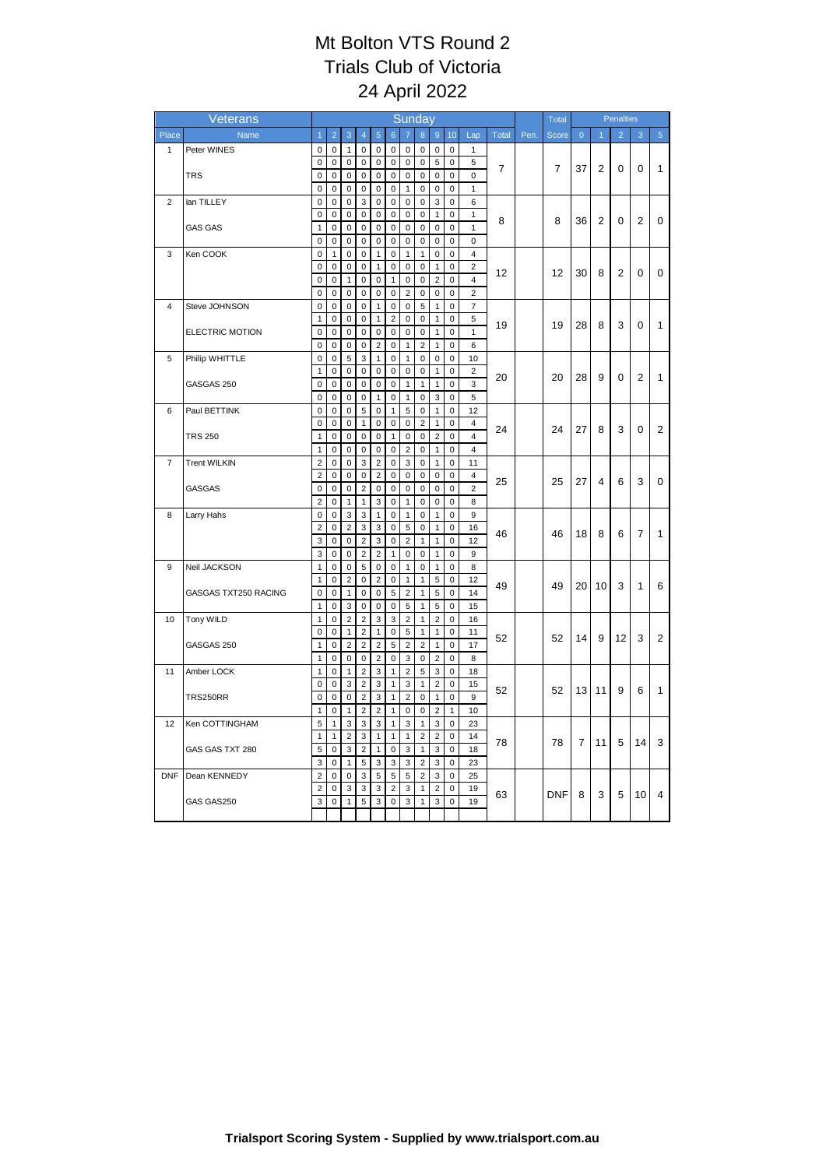|                          | Veterans               | Sunday                     |                          |                     |                            |                               |                              |                     |                            |                                |                          |                         |       |      | Total          |              |                | <b>Penalties</b> |                |                |
|--------------------------|------------------------|----------------------------|--------------------------|---------------------|----------------------------|-------------------------------|------------------------------|---------------------|----------------------------|--------------------------------|--------------------------|-------------------------|-------|------|----------------|--------------|----------------|------------------|----------------|----------------|
| Place                    | Name                   | $\overline{1}$             | $\overline{2}$           | 3                   | $\overline{4}$             | $\overline{5}$                | $6\overline{6}$              |                     | 8                          | $\boldsymbol{9}$               | 10                       | Lap                     | Total | Pen. | Score          | $\mathbf{0}$ | $\overline{1}$ | $\overline{2}$   | 3              | $\overline{5}$ |
| 1                        | Peter WINES            | $\mathsf 0$                | $\pmb{0}$                | $\mathbf{1}$        | $\pmb{0}$                  | $\mathbf 0$                   | 0                            | $\mathsf 0$         | $\mathbf 0$                | $\pmb{0}$                      | $\mathbf 0$              | $\mathbf{1}$            |       |      |                |              |                |                  |                |                |
|                          |                        | 0                          | $\pmb{0}$                | $\pmb{0}$           | 0                          | $\pmb{0}$                     | $\pmb{0}$                    | 0                   | $\mathsf 0$                | $\,$ 5 $\,$                    | $\pmb{0}$                | 5                       | 7     |      | $\overline{7}$ | 37           | $\overline{2}$ | 0                | 0              | 1              |
|                          | <b>TRS</b>             | 0                          | $\pmb{0}$                | 0                   | $\mathsf 0$                | $\pmb{0}$                     | $\mathsf 0$                  | $\mathsf{O}\xspace$ | $\mathsf 0$                | $\pmb{0}$                      | $\pmb{0}$                | 0                       |       |      |                |              |                |                  |                |                |
|                          |                        | $\pmb{0}$                  | $\pmb{0}$                | $\mathbf 0$         | $\pmb{0}$                  | $\mathbf 0$                   | $\pmb{0}$                    | $\mathbf{1}$        | $\pmb{0}$                  | $\pmb{0}$                      | $\pmb{0}$                | $\mathbf{1}$            |       |      |                |              |                |                  |                |                |
| $\overline{2}$           | lan TILLEY             | $\mathbf 0$                | $\mathbf 0$              | $\mathbf 0$         | 3                          | $\mathbf 0$                   | $\mathbf 0$                  | 0                   | 0                          | 3                              | $\mathbf 0$              | 6                       |       |      |                |              |                |                  |                |                |
|                          |                        | $\pmb{0}$<br>$\mathbf{1}$  | 0<br>$\mathbf 0$         | 0<br>$\mathbf 0$    | 0<br>$\mathbf 0$           | 0<br>$\mathbf 0$              | 0<br>$\mathbf 0$             | 0<br>0              | $\mathsf 0$<br>$\mathbf 0$ | 1<br>$\pmb{0}$                 | 0<br>$\mathbf 0$         | 1<br>$\mathbf{1}$       | 8     |      | 8              | 36           | $\overline{2}$ | 0                | $\overline{2}$ | 0              |
|                          | <b>GAS GAS</b>         | $\mathbf 0$                | $\mathbf 0$              | $\pmb{0}$           | $\pmb{0}$                  | $\pmb{0}$                     | $\pmb{0}$                    | 0                   | $\pmb{0}$                  | $\pmb{0}$                      | $\pmb{0}$                | $\mathbf 0$             |       |      |                |              |                |                  |                |                |
| 3                        | Ken COOK               | $\pmb{0}$                  | $\mathbf{1}$             | $\pmb{0}$           | $\mathsf 0$                | $\mathbf{1}$                  | 0                            | 1                   | 1                          | 0                              | 0                        | 4                       |       |      |                |              |                |                  |                |                |
|                          |                        | 0                          | $\pmb{0}$                | $\pmb{0}$           | $\pmb{0}$                  | $\mathbf{1}$                  | $\pmb{0}$                    | 0                   | $\pmb{0}$                  | $\mathbf{1}$                   | 0                        | $\overline{\mathbf{c}}$ |       |      |                |              |                |                  |                |                |
|                          |                        | $\mathbf 0$                | $\mathbf 0$              | 1                   | $\mathbf 0$                | $\pmb{0}$                     | $\mathbf{1}$                 | 0                   | $\pmb{0}$                  | $\overline{c}$                 | 0                        | $\overline{4}$          | 12    |      | 12             | 30           | 8              | 2                | 0              | 0              |
|                          |                        | $\mathbf 0$                | $\mathbf 0$              | $\mathbf 0$         | $\mathbf 0$                | $\pmb{0}$                     | $\pmb{0}$                    | $\overline{c}$      | $\mathbf 0$                | $\pmb{0}$                      | $\pmb{0}$                | $\overline{2}$          |       |      |                |              |                |                  |                |                |
| 4                        | Steve JOHNSON          | $\pmb{0}$                  | 0                        | 0                   | $\mathbf 0$                | 1                             | 0                            | 0                   | 5                          | 1                              | 0                        | $\overline{7}$          |       |      |                |              |                |                  |                |                |
|                          |                        | 1                          | $\mathbf 0$              | 0                   | $\mathsf 0$                | $\mathbf{1}$                  | $\sqrt{2}$                   | 0                   | $\mathsf 0$                | $\mathbf{1}$                   | 0                        | 5                       | 19    |      | 19             | 28           | 8              | 3                | 0              | $\mathbf{1}$   |
|                          | <b>ELECTRIC MOTION</b> | 0                          | $\mathbf 0$              | $\pmb{0}$           | $\mathbf 0$                | $\pmb{0}$                     | $\pmb{0}$                    | 0                   | $\pmb{0}$                  | $\mathbf{1}$                   | 0                        | 1                       |       |      |                |              |                |                  |                |                |
|                          |                        | 0                          | $\mathbf 0$              | $\mathbf 0$         | $\mathbf 0$                | $\overline{2}$                | $\mathbf 0$                  | $\mathbf{1}$        | $\overline{2}$             | $\mathbf{1}$                   | $\mathbf 0$              | 6                       |       |      |                |              |                |                  |                |                |
| 5                        | Philip WHITTLE         | $\pmb{0}$                  | 0                        | 5                   | 3                          | 1                             | 0                            | 1                   | $\pmb{0}$                  | $\pmb{0}$                      | 0                        | 10                      |       |      |                |              |                |                  |                |                |
|                          |                        | $\mathbf{1}$               | $\mathbf 0$              | $\mathbf 0$         | $\mathbf 0$                | $\mathbf 0$                   | $\mathbf 0$                  | 0                   | $\mathbf 0$                | $\mathbf{1}$                   | $\mathbf 0$              | $\overline{2}$          | 20    |      | 20             | 28           | 9              | 0                | 2              | $\mathbf{1}$   |
|                          | GASGAS 250             | $\mathbf 0$<br>$\mathbf 0$ | $\mathbf 0$<br>$\pmb{0}$ | 0<br>$\mathbf 0$    | $\mathbf 0$<br>$\mathbf 0$ | $\pmb{0}$<br>$\mathbf{1}$     | $\pmb{0}$<br>$\pmb{0}$       | 1<br>$\mathbf{1}$   | $\mathbf{1}$<br>$\pmb{0}$  | $\mathbf{1}$                   | $\mathbf 0$<br>$\pmb{0}$ | 3<br>5                  |       |      |                |              |                |                  |                |                |
| 6                        | Paul BETTINK           | 0                          | 0                        | 0                   | 5                          | $\pmb{0}$                     | $\mathbf{1}$                 | 5                   | 0                          | $\ensuremath{\mathsf{3}}$<br>1 | 0                        | 12                      |       |      |                |              |                |                  |                |                |
|                          |                        | $\pmb{0}$                  | $\mathbf 0$              | $\pmb{0}$           | $\mathbf{1}$               | $\pmb{0}$                     | $\pmb{0}$                    | 0                   | $\overline{2}$             | $\mathbf{1}$                   | $\pmb{0}$                | $\overline{4}$          |       |      |                |              |                |                  |                |                |
|                          | <b>TRS 250</b>         | 1                          | $\mathbf 0$              | $\pmb{0}$           | $\mathbf 0$                | $\pmb{0}$                     | $\mathbf{1}$                 | $\mathbf 0$         | 0                          | $\overline{\mathbf{c}}$        | 0                        | $\overline{4}$          | 24    |      | 24             | 27           | 8              | 3                | 0              | 2              |
|                          |                        | $\mathbf{1}$               | $\mathbf 0$              | $\mathbf 0$         | $\mathbf 0$                | $\mathbf 0$                   | $\mathbf 0$                  | $\overline{c}$      | $\mathbf 0$                | $\mathbf{1}$                   | $\mathbf 0$              | $\overline{4}$          |       |      |                |              |                |                  |                |                |
| $\overline{\mathcal{I}}$ | <b>Trent WILKIN</b>    | $\mathbf 2$                | 0                        | $\pmb{0}$           | 3                          | $\overline{2}$                | 0                            | 3                   | $\mathsf 0$                | 1                              | 0                        | 11                      |       |      |                |              |                |                  |                |                |
|                          |                        | $\overline{c}$             | $\pmb{0}$                | $\pmb{0}$           | $\pmb{0}$                  | $\overline{2}$                | $\pmb{0}$                    | 0                   | 0                          | $\pmb{0}$                      | $\pmb{0}$                | 4                       | 25    |      | 25             | 27           | 4              | 6                | 3              | 0              |
|                          | GASGAS                 | $\pmb{0}$                  | $\mathbf 0$              | $\pmb{0}$           | $\overline{2}$             | $\pmb{0}$                     | $\pmb{0}$                    | 0                   | $\pmb{0}$                  | $\pmb{0}$                      | $\pmb{0}$                | $\overline{c}$          |       |      |                |              |                |                  |                |                |
|                          |                        | $\overline{c}$             | 0                        | $\mathbf{1}$        | $\mathbf{1}$               | 3                             | $\pmb{0}$                    | $\mathbf{1}$        | 0                          | $\pmb{0}$                      | 0                        | 8                       |       |      |                |              |                |                  |                |                |
| 8                        | Larry Hahs             | 0                          | $\mathbf 0$              | 3                   | 3                          | $\mathbf{1}$                  | $\mathsf 0$                  | $\mathbf{1}$        | $\mathbf 0$                | $\mathbf{1}$                   | 0                        | 9                       |       |      |                |              |                |                  |                |                |
|                          |                        | $\overline{\mathbf{c}}$    | $\mathbf 0$              | $\overline{2}$      | 3                          | 3                             | $\mathbf 0$                  | 5                   | $\mathbf 0$                | $\mathbf{1}$                   | $\mathbf 0$              | 16                      | 46    |      | 46             | 18           | 8              | 6                | 7              | $\mathbf{1}$   |
|                          |                        | 3                          | $\pmb{0}$                | $\pmb{0}$           | $\sqrt{2}$                 | 3                             | $\pmb{0}$                    | $\overline{c}$      | $\mathbf{1}$               | $\mathbf{1}$                   | $\pmb{0}$                | 12                      |       |      |                |              |                |                  |                |                |
| 9                        | Neil JACKSON           | 3<br>$\mathbf{1}$          | $\mathbf 0$<br>$\pmb{0}$ | 0<br>$\pmb{0}$      | $\overline{2}$<br>5        | $\overline{2}$<br>$\mathbf 0$ | $\mathbf{1}$<br>$\pmb{0}$    | 0<br>$\mathbf{1}$   | 0<br>$\pmb{0}$             | $\mathbf{1}$<br>$\mathbf{1}$   | $\pmb{0}$<br>$\pmb{0}$   | 9<br>8                  |       |      |                |              |                |                  |                |                |
|                          |                        | $\mathbf{1}$               | $\mathbf 0$              | $\overline{c}$      | $\mathbf 0$                | $\overline{2}$                | $\mathbf 0$                  | $\mathbf{1}$        | 1                          | 5                              | $\pmb{0}$                | 12                      |       |      |                |              |                |                  |                |                |
|                          | GASGAS TXT250 RACING   | $\mathbf 0$                | $\mathbf 0$              | $\mathbf{1}$        | $\mathbf 0$                | $\mathbf 0$                   | 5                            | $\overline{c}$      | $\mathbf{1}$               | 5                              | 0                        | 14                      | 49    |      | 49             | 20           | 10             | 3                | 1              | 6              |
|                          |                        | $\mathbf{1}$               | $\pmb{0}$                | 3                   | $\pmb{0}$                  | $\pmb{0}$                     | 0                            | 5                   | $\mathbf{1}$               | $\sqrt{5}$                     | 0                        | 15                      |       |      |                |              |                |                  |                |                |
| 10                       | Tony WILD              | $\mathbf{1}$               | $\pmb{0}$                | $\overline{2}$      | $\overline{2}$             | 3                             | 3                            | $\overline{2}$      | $\mathbf{1}$               | $\boldsymbol{2}$               | $\pmb{0}$                | 16                      |       |      |                |              |                |                  |                |                |
|                          |                        | 0                          | $\mathbf 0$              | 1                   | $\overline{2}$             | $\mathbf{1}$                  | $\pmb{0}$                    | 5                   | 1                          | $\mathbf{1}$                   | $\pmb{0}$                | 11                      | 52    |      | 52             | 14           | 9              | 12               | 3              | 2              |
|                          | GASGAS 250             | $\mathbf{1}$               | $\pmb{0}$                | $\overline{2}$      | $\overline{2}$             | $\overline{2}$                | 5                            | $\overline{2}$      | $\overline{2}$             | $\mathbf{1}$                   | $\pmb{0}$                | 17                      |       |      |                |              |                |                  |                |                |
|                          |                        | $\mathbf{1}$               | 0                        | 0                   | $\pmb{0}$                  | $\overline{2}$                | $\pmb{0}$                    | 3                   | 0                          | $\overline{c}$                 | 0                        | 8                       |       |      |                |              |                |                  |                |                |
| 11                       | Amber LOCK             | 1                          | $\mathbf 0$              | $\mathbf{1}$        | $\overline{2}$             | 3                             | $\mathbf{1}$                 | $\overline{c}$      | 5                          | 3                              | 0                        | 18                      |       |      |                |              |                |                  |                |                |
|                          |                        | 0                          | $\mathbf 0$              | 3                   | $\overline{2}$             | $\ensuremath{\mathsf{3}}$     | $\mathbf{1}$                 | 3                   | 1                          | $\overline{\mathbf{c}}$        | $\pmb{0}$                | 15                      | 52    |      | 52             | 13           | 11             | 9                | 6              | $\mathbf{1}$   |
|                          | <b>TRS250RR</b>        | 0                          | $\mathbf 0$              | $\pmb{0}$           | $\overline{2}$             | 3                             | $\mathbf{1}$                 | $\overline{c}$      | 0                          | $\mathbf{1}$                   | $\pmb{0}$                | 9                       |       |      |                |              |                |                  |                |                |
|                          |                        | $\mathbf{1}$               | $\mathbf 0$              | $\mathbf{1}$        | $\overline{\mathbf{c}}$    | $\boldsymbol{2}$              | $\mathbf{1}$<br>$\mathbf{1}$ | 0                   | 0<br>$\mathbf{1}$          | $\overline{c}$                 | 1                        | 10                      |       |      |                |              |                |                  |                |                |
| 12                       | Ken COTTINGHAM         | 5<br>1                     | $\mathbf{1}$<br>1        | 3<br>$\overline{2}$ | 3<br>3                     | 3<br>$\mathbf{1}$             | $\mathbf{1}$                 | 3<br>$\mathbf{1}$   | $\overline{c}$             | 3<br>$\overline{2}$            | $\pmb{0}$<br>$\pmb{0}$   | 23<br>14                |       |      |                |              |                |                  |                |                |
|                          | GAS GAS TXT 280        | 5                          | $\pmb{0}$                | 3                   | $\sqrt{2}$                 | $\mathbf{1}$                  | $\pmb{0}$                    | 3                   | $\mathbf{1}$               | 3                              | 0                        | 18                      | 78    |      | 78             | 7            | 11             | 5                | 14             | 3              |
|                          |                        | $\overline{3}$             | $\mathbf 0$              | $\mathbf{1}$        | 5                          | 3                             | 3                            | 3                   | $\overline{c}$             | 3                              | 0                        | 23                      |       |      |                |              |                |                  |                |                |
| <b>DNF</b>               | Dean KENNEDY           | $\overline{\mathbf{c}}$    | 0                        | $\mathbf 0$         | 3                          | 5                             | 5                            | 5                   | $\overline{c}$             | 3                              | 0                        | 25                      |       |      |                |              |                |                  |                |                |
|                          |                        | $\overline{c}$             | $\pmb{0}$                | 3                   | 3                          | 3                             | $\sqrt{2}$                   | 3                   | 1                          | $\overline{\mathbf{c}}$        | $\mathbf 0$              | 19                      |       |      |                |              |                |                  |                |                |
|                          | GAS GAS250             | 3                          | $\pmb{0}$                | $\mathbf{1}$        | 5                          | 3                             | 0                            | 3                   | 1                          | 3                              | 0                        | 19                      | 63    |      | <b>DNF</b>     | 8            | 3              | 5                | 10             | $\overline{4}$ |
|                          |                        |                            |                          |                     |                            |                               |                              |                     |                            |                                |                          |                         |       |      |                |              |                |                  |                |                |